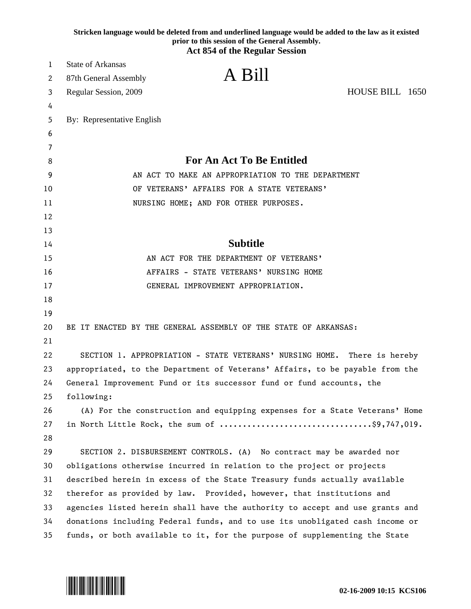|        | Stricken language would be deleted from and underlined language would be added to the law as it existed<br>prior to this session of the General Assembly.<br><b>Act 854 of the Regular Session</b> |                                            |  |
|--------|----------------------------------------------------------------------------------------------------------------------------------------------------------------------------------------------------|--------------------------------------------|--|
| 1      | <b>State of Arkansas</b>                                                                                                                                                                           |                                            |  |
|        | A Bill                                                                                                                                                                                             |                                            |  |
| 2      | 87th General Assembly                                                                                                                                                                              |                                            |  |
| 3      | Regular Session, 2009                                                                                                                                                                              | HOUSE BILL 1650                            |  |
| 4      |                                                                                                                                                                                                    |                                            |  |
| 5      | By: Representative English                                                                                                                                                                         |                                            |  |
| 6      |                                                                                                                                                                                                    |                                            |  |
| 7<br>8 | <b>For An Act To Be Entitled</b>                                                                                                                                                                   |                                            |  |
| 9      | AN ACT TO MAKE AN APPROPRIATION TO THE DEPARTMENT                                                                                                                                                  |                                            |  |
| 10     |                                                                                                                                                                                                    | OF VETERANS' AFFAIRS FOR A STATE VETERANS' |  |
| 11     | NURSING HOME; AND FOR OTHER PURPOSES.                                                                                                                                                              |                                            |  |
| 12     |                                                                                                                                                                                                    |                                            |  |
| 13     |                                                                                                                                                                                                    |                                            |  |
| 14     | <b>Subtitle</b>                                                                                                                                                                                    |                                            |  |
| 15     | AN ACT FOR THE DEPARTMENT OF VETERANS'                                                                                                                                                             |                                            |  |
| 16     | AFFAIRS - STATE VETERANS' NURSING HOME                                                                                                                                                             |                                            |  |
| 17     | GENERAL IMPROVEMENT APPROPRIATION.                                                                                                                                                                 |                                            |  |
| 18     |                                                                                                                                                                                                    |                                            |  |
| 19     |                                                                                                                                                                                                    |                                            |  |
| 20     | BE IT ENACTED BY THE GENERAL ASSEMBLY OF THE STATE OF ARKANSAS:                                                                                                                                    |                                            |  |
| 21     |                                                                                                                                                                                                    |                                            |  |
| 22     | SECTION 1. APPROPRIATION - STATE VETERANS' NURSING HOME. There is hereby                                                                                                                           |                                            |  |
| 23     | appropriated, to the Department of Veterans' Affairs, to be payable from the                                                                                                                       |                                            |  |
| 24     | General Improvement Fund or its successor fund or fund accounts, the                                                                                                                               |                                            |  |
| 25     | following:                                                                                                                                                                                         |                                            |  |
| 26     | (A) For the construction and equipping expenses for a State Veterans' Home                                                                                                                         |                                            |  |
| 27     | in North Little Rock, the sum of \$9,747,019.                                                                                                                                                      |                                            |  |
| 28     |                                                                                                                                                                                                    |                                            |  |
| 29     | SECTION 2. DISBURSEMENT CONTROLS. (A) No contract may be awarded nor                                                                                                                               |                                            |  |
| 30     | obligations otherwise incurred in relation to the project or projects                                                                                                                              |                                            |  |
| 31     | described herein in excess of the State Treasury funds actually available                                                                                                                          |                                            |  |
| 32     | therefor as provided by law. Provided, however, that institutions and                                                                                                                              |                                            |  |
| 33     | agencies listed herein shall have the authority to accept and use grants and                                                                                                                       |                                            |  |
| 34     | donations including Federal funds, and to use its unobligated cash income or                                                                                                                       |                                            |  |
| 35     | funds, or both available to it, for the purpose of supplementing the State                                                                                                                         |                                            |  |